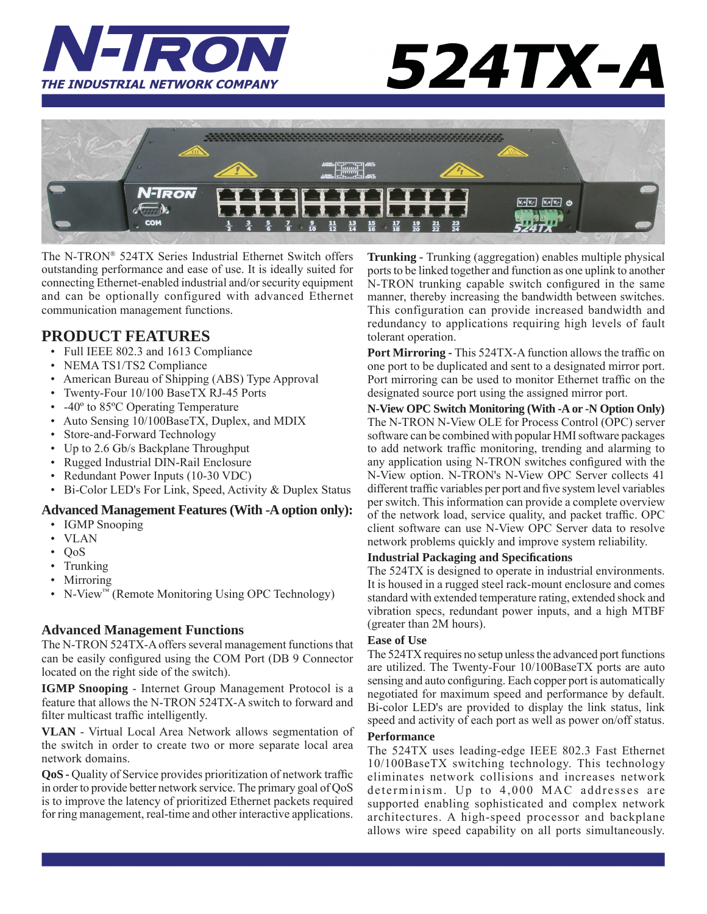

# 524TX-A



The N-TRON® 524TX Series Industrial Ethernet Switch offers outstanding performance and ease of use. It is ideally suited for connecting Ethernet-enabled industrial and/or security equipment and can be optionally configured with advanced Ethernet communication management functions.

# **PRODUCT FEATURES**

- Full IEEE 802.3 and 1613 Compliance
- NEMA TS1/TS2 Compliance
- American Bureau of Shipping (ABS) Type Approval
- Twenty-Four 10/100 BaseTX RJ-45 Ports
- -40<sup>°</sup> to 85<sup>°</sup>C Operating Temperature
- Auto Sensing 10/100BaseTX, Duplex, and MDIX
- Store-and-Forward Technology
- Up to 2.6 Gb/s Backplane Throughput
- Rugged Industrial DIN-Rail Enclosure
- Redundant Power Inputs (10-30 VDC)
- Bi-Color LED's For Link, Speed, Activity & Duplex Status

# **Advanced Management Features (With -A option only):**

- IGMP Snooping
- VLAN
- QoS
- Trunking
- Mirroring
- N-View™ (Remote Monitoring Using OPC Technology)

# **Advanced Management Functions**

The N-TRON 524TX-A offers several management functions that can be easily configured using the COM Port (DB 9 Connector located on the right side of the switch).

**IGMP Snooping** - Internet Group Management Protocol is a feature that allows the N-TRON 524TX-A switch to forward and filter multicast traffic intelligently.

**VLAN** - Virtual Local Area Network allows segmentation of the switch in order to create two or more separate local area network domains.

**QoS** - Quality of Service provides prioritization of network traffic in order to provide better network service. The primary goal of QoS is to improve the latency of prioritized Ethernet packets required for ring management, real-time and other interactive applications.

**Trunking -** Trunking (aggregation) enables multiple physical ports to be linked together and function as one uplink to another N-TRON trunking capable switch configured in the same manner, thereby increasing the bandwidth between switches. This configuration can provide increased bandwidth and redundancy to applications requiring high levels of fault tolerant operation.

**Port Mirroring - This 524TX-A function allows the traffic on** one port to be duplicated and sent to a designated mirror port. Port mirroring can be used to monitor Ethernet traffic on the designated source port using the assigned mirror port.

**N-View OPC Switch Monitoring (With -A or -N Option Only)** The N-TRON N-View OLE for Process Control (OPC) server software can be combined with popular HMI software packages to add network traffic monitoring, trending and alarming to any application using N-TRON switches configured with the N-View option. N-TRON's N-View OPC Server collects 41 different traffic variables per port and five system level variables per switch. This information can provide a complete overview of the network load, service quality, and packet traffic. OPC client software can use N-View OPC Server data to resolve network problems quickly and improve system reliability.

# **Industrial Packaging and Specifi cations**

The 524TX is designed to operate in industrial environments. It is housed in a rugged steel rack-mount enclosure and comes standard with extended temperature rating, extended shock and vibration specs, redundant power inputs, and a high MTBF (greater than 2M hours).

# **Ease of Use**

The 524TX requires no setup unless the advanced port functions are utilized. The Twenty-Four 10/100BaseTX ports are auto sensing and auto configuring. Each copper port is automatically negotiated for maximum speed and performance by default. Bi-color LED's are provided to display the link status, link speed and activity of each port as well as power on/off status.

### **Performance**

The 524TX uses leading-edge IEEE 802.3 Fast Ethernet 10/100BaseTX switching technology. This technology eliminates network collisions and increases network determinism. Up to 4,000 MAC addresses are supported enabling sophisticated and complex network architectures. A high-speed processor and backplane allows wire speed capability on all ports simultaneously.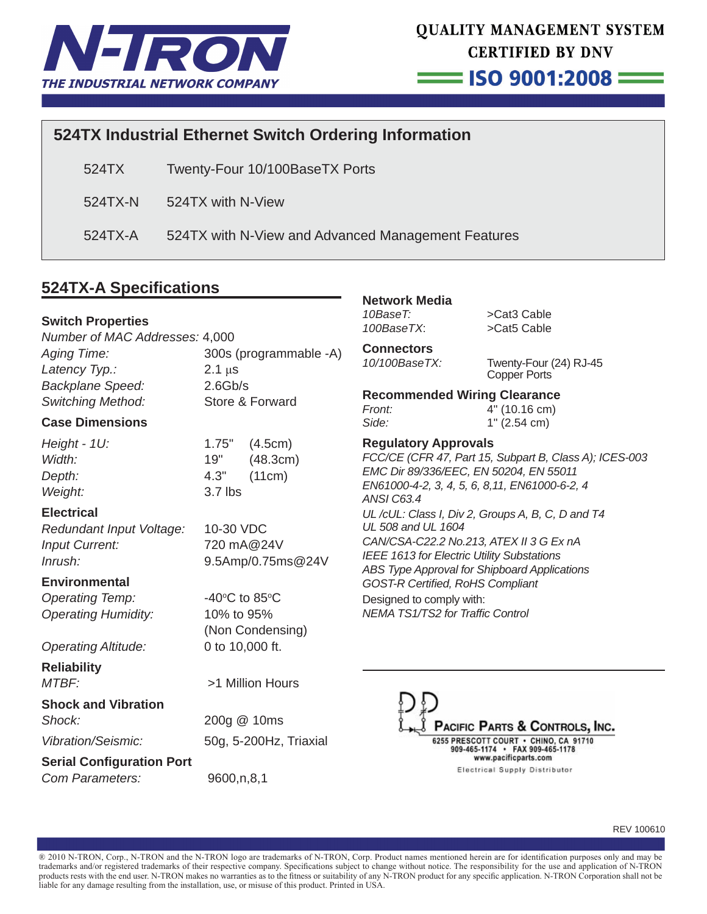

= ISO 9001:2008 =

# **524TX Industrial Ethernet Switch Ordering Information**

524TX Twenty-Four 10/100BaseTX Ports

524TX-N 524TX with N-View

524TX-A 524TX with N-View and Advanced Management Features

# **524TX-A Specifi cations**

# **Switch Properties**

*Number of MAC Addresses:* 4,000

*Aging Time:* 300s (programmable -A) *Latency Typ.:* 2.1 μs *Backplane Speed:* 2.6Gb/s *Switching Method:* Store & Forward

# **Case Dimensions**

*Height - 1U:* 1.75" (4.5cm) *Weight:* 3.7 lbs

*Width:* 19" (48.3cm) *Depth:* 4.3" (11cm)

**Electrical**

*Redundant Input Voltage:* 10-30 VDC *Input Current:* 720 mA@24V *Inrush:* 9.5Amp/0.75ms@24V

C to  $85^{\circ}$ C

(Non Condensing)

# **Environmental**

**Operating Temp:** *Operating Humidity:* 10% to 95%

*Operating Altitude:* 0 to 10,000 ft.

**Reliability** *MTBF:* >1 Million Hours

**Shock and Vibration**  *Shock:* 200g @ 10ms

*Vibration/Seismic:* 50g, 5-200Hz, Triaxial

# **Serial Configuration Port**

*Com Parameters:* 9600,n,8,1

**Network Media** *10BaseT:* >Cat3 Cable *100BaseTX*: >Cat5 Cable

**Connectors**

*10/100BaseTX:* Twenty-Four (24) RJ-45 Copper Ports

# **Recommended Wiring Clearance** *Front:* 4" (10.16 cm)

*Side:* 1" (2.54 cm)

**Regulatory Approvals** *FCC/CE (CFR 47, Part 15, Subpart B, Class A); ICES-003 EMC Dir 89/336/EEC, EN 50204, EN 55011 EN61000-4-2, 3, 4, 5, 6, 8,11, EN61000-6-2, 4 ANSI C63.4 UL /cUL: Class I, Div 2, Groups A, B, C, D and T4 UL 508 and UL 1604 CAN/CSA-C22.2 No.213, ATEX II 3 G Ex nA IEEE 1613 for Electric Utility Substations ABS Type Approval for Shipboard Applications GOST-R Certifi ed, RoHS Compliant* Designed to comply with: *NEMA TS1/TS2 for Traffi c Control*



REV 100610

® 2010 N-TRON, Corp., N-TRON and the N-TRON logo are trademarks of N-TRON, Corp. Product names mentioned herein are for identifi cation purposes only and may be trademarks and/or registered trademarks of their respective company. Specifications subject to change without notice. The responsibility for the use and application of N-TRON products rests with the end user. N-TRON makes no warranties as to the fitness or suitability of any N-TRON product for any specific application. N-TRON Corporation shall not be liable for any damage resulting from the installation, use, or misuse of this product. Printed in USA.